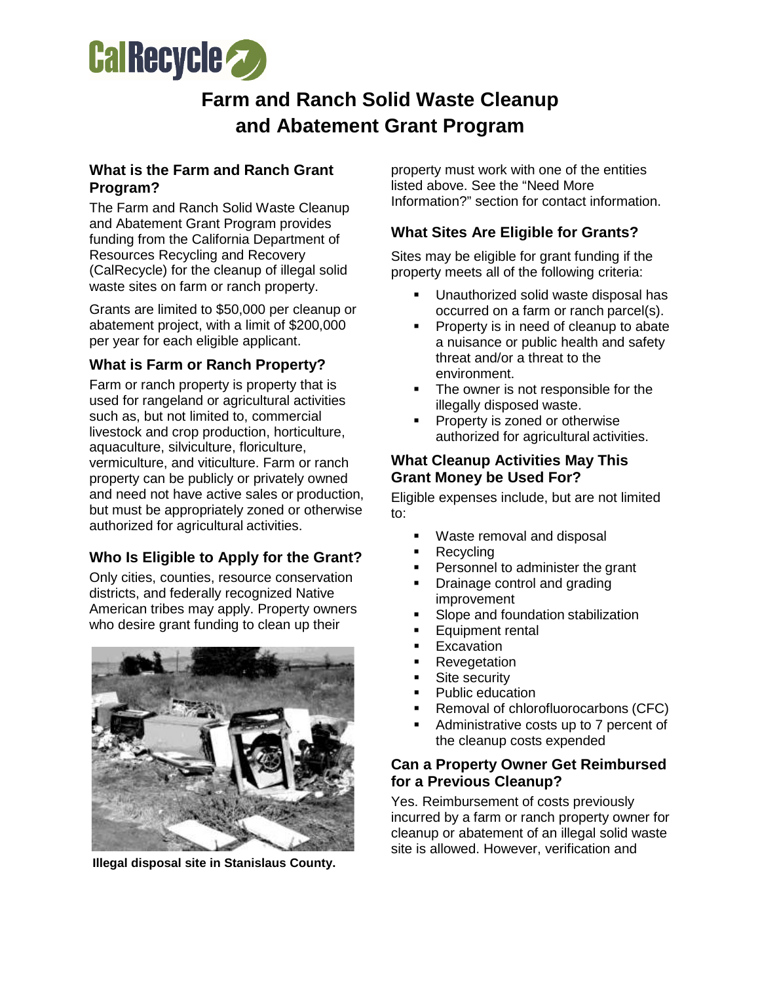

# **Farm and Ranch Solid Waste Cleanup and Abatement Grant Program**

## **What is the Farm and Ranch Grant Program?**

The Farm and Ranch Solid Waste Cleanup and Abatement Grant Program provides funding from the California Department of Resources Recycling and Recovery (CalRecycle) for the cleanup of illegal solid waste sites on farm or ranch property.

Grants are limited to \$50,000 per cleanup or abatement project, with a limit of \$200,000 per year for each eligible applicant.

## **What is Farm or Ranch Property?**

Farm or ranch property is property that is used for rangeland or agricultural activities such as, but not limited to, commercial livestock and crop production, horticulture, aquaculture, silviculture, floriculture, vermiculture, and viticulture. Farm or ranch property can be publicly or privately owned and need not have active sales or production, but must be appropriately zoned or otherwise authorized for agricultural activities.

# **Who Is Eligible to Apply for the Grant?**

Only cities, counties, resource conservation districts, and federally recognized Native American tribes may apply. Property owners who desire grant funding to clean up their



**Illegal disposal site in Stanislaus County.**

property must work with one of the entities listed above. See the "Need More Information?" section for contact information.

## **What Sites Are Eligible for Grants?**

Sites may be eligible for grant funding if the property meets all of the following criteria:

- Unauthorized solid waste disposal has occurred on a farm or ranch parcel(s).
- **Property is in need of cleanup to abate** a nuisance or public health and safety threat and/or a threat to the environment.
- The owner is not responsible for the illegally disposed waste.
- Property is zoned or otherwise authorized for agricultural activities.

#### **What Cleanup Activities May This Grant Money be Used For?**

Eligible expenses include, but are not limited to:

- **Waste removal and disposal**
- Recycling
- Personnel to administer the grant
- Drainage control and grading improvement
- **Slope and foundation stabilization**
- **Equipment rental**
- **Excavation**
- **Revegetation**
- **Site security**
- Public education
- **Removal of chlorofluorocarbons (CFC)**
- Administrative costs up to 7 percent of the cleanup costs expended

#### **Can a Property Owner Get Reimbursed for a Previous Cleanup?**

Yes. Reimbursement of costs previously incurred by a farm or ranch property owner for cleanup or abatement of an illegal solid waste site is allowed. However, verification and